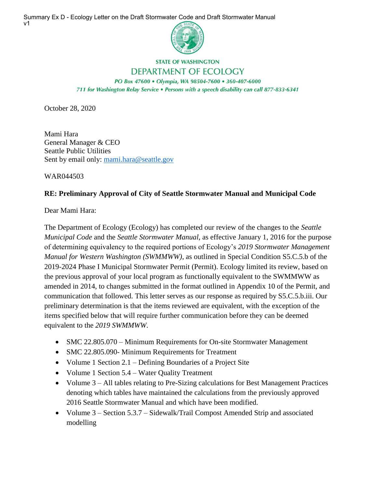Summary Ex D - Ecology Letter on the Draft Stormwater Code and Draft Stormwater Manual v1



## **STATE OF WASHINGTON** DEPARTMENT OF ECOLOGY

PO Box 47600 · Olympia, WA 98504-7600 · 360-407-6000 711 for Washington Relay Service . Persons with a speech disability can call 877-833-6341

October 28, 2020

Mami Hara General Manager & CEO Seattle Public Utilities Sent by email only: mami.hara@seattle.gov

WAR044503

## **RE: Preliminary Approval of City of Seattle Stormwater Manual and Municipal Code**

Dear Mami Hara:

The Department of Ecology (Ecology) has completed our review of the changes to the *Seattle Municipal Code* and the *Seattle Stormwater Manual*, as effective January 1, 2016 for the purpose of determining equivalency to the required portions of Ecology's *2019 Stormwater Management Manual for Western Washington (SWMMWW)*, as outlined in Special Condition S5.C.5.b of the 2019-2024 Phase I Municipal Stormwater Permit (Permit). Ecology limited its review, based on the previous approval of your local program as functionally equivalent to the SWMMWW as amended in 2014, to changes submitted in the format outlined in Appendix 10 of the Permit, and communication that followed. This letter serves as our response as required by S5.C.5.b.iii. Our preliminary determination is that the items reviewed are equivalent, with the exception of the items specified below that will require further communication before they can be deemed equivalent to the *2019 SWMMWW*.

- SMC 22.805.070 Minimum Requirements for On-site Stormwater Management
- SMC 22.805.090- Minimum Requirements for Treatment
- Volume 1 Section 2.1 Defining Boundaries of a Project Site
- Volume 1 Section 5.4 Water Quality Treatment
- Volume 3 All tables relating to Pre-Sizing calculations for Best Management Practices denoting which tables have maintained the calculations from the previously approved 2016 Seattle Stormwater Manual and which have been modified.
- Volume 3 Section 5.3.7 Sidewalk/Trail Compost Amended Strip and associated modelling